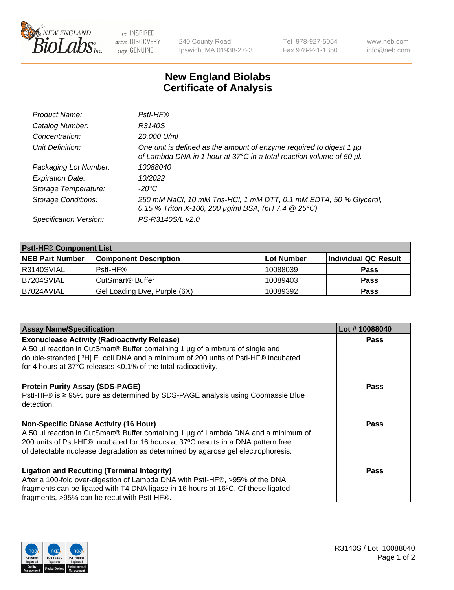

 $be$  INSPIRED drive DISCOVERY stay GENUINE

240 County Road Ipswich, MA 01938-2723 Tel 978-927-5054 Fax 978-921-1350 www.neb.com info@neb.com

## **New England Biolabs Certificate of Analysis**

| Product Name:              | Pstl-HF®                                                                                                                                             |
|----------------------------|------------------------------------------------------------------------------------------------------------------------------------------------------|
| Catalog Number:            | R3140S                                                                                                                                               |
| Concentration:             | 20,000 U/ml                                                                                                                                          |
| Unit Definition:           | One unit is defined as the amount of enzyme required to digest 1 µg<br>of Lambda DNA in 1 hour at 37°C in a total reaction volume of 50 µl.          |
| Packaging Lot Number:      | 10088040                                                                                                                                             |
| <b>Expiration Date:</b>    | 10/2022                                                                                                                                              |
| Storage Temperature:       | $-20^{\circ}$ C                                                                                                                                      |
| <b>Storage Conditions:</b> | 250 mM NaCl, 10 mM Tris-HCl, 1 mM DTT, 0.1 mM EDTA, 50 % Glycerol,<br>0.15 % Triton X-100, 200 $\mu$ g/ml BSA, (pH 7.4 $\textcircled{25}^{\circ}$ C) |
| Specification Version:     | PS-R3140S/L v2.0                                                                                                                                     |

| <b>PstI-HF® Component List</b> |                                    |                   |                      |  |
|--------------------------------|------------------------------------|-------------------|----------------------|--|
| <b>NEB Part Number</b>         | <b>Component Description</b>       | <b>Lot Number</b> | Individual QC Result |  |
| R3140SVIAL                     | Pstl-HF®                           | 10088039          | <b>Pass</b>          |  |
| B7204SVIAL                     | <b>CutSmart<sup>®</sup> Buffer</b> | 10089403          | <b>Pass</b>          |  |
| B7024AVIAL                     | Gel Loading Dye, Purple (6X)       | 10089392          | <b>Pass</b>          |  |

| <b>Assay Name/Specification</b>                                                                | Lot #10088040 |
|------------------------------------------------------------------------------------------------|---------------|
| <b>Exonuclease Activity (Radioactivity Release)</b>                                            | <b>Pass</b>   |
| A 50 µl reaction in CutSmart® Buffer containing 1 µg of a mixture of single and                |               |
| double-stranded [3H] E. coli DNA and a minimum of 200 units of PstI-HF® incubated              |               |
| for 4 hours at 37°C releases <0.1% of the total radioactivity.                                 |               |
| <b>Protein Purity Assay (SDS-PAGE)</b>                                                         | <b>Pass</b>   |
| PstI-HF® is ≥ 95% pure as determined by SDS-PAGE analysis using Coomassie Blue<br>l detection. |               |
| <b>Non-Specific DNase Activity (16 Hour)</b>                                                   | Pass          |
| A 50 µl reaction in CutSmart® Buffer containing 1 µg of Lambda DNA and a minimum of            |               |
| 200 units of Pstl-HF® incubated for 16 hours at 37°C results in a DNA pattern free             |               |
| of detectable nuclease degradation as determined by agarose gel electrophoresis.               |               |
| <b>Ligation and Recutting (Terminal Integrity)</b>                                             | Pass          |
| After a 100-fold over-digestion of Lambda DNA with PstI-HF®, >95% of the DNA                   |               |
| fragments can be ligated with T4 DNA ligase in 16 hours at 16°C. Of these ligated              |               |
| fragments, >95% can be recut with PstI-HF®.                                                    |               |